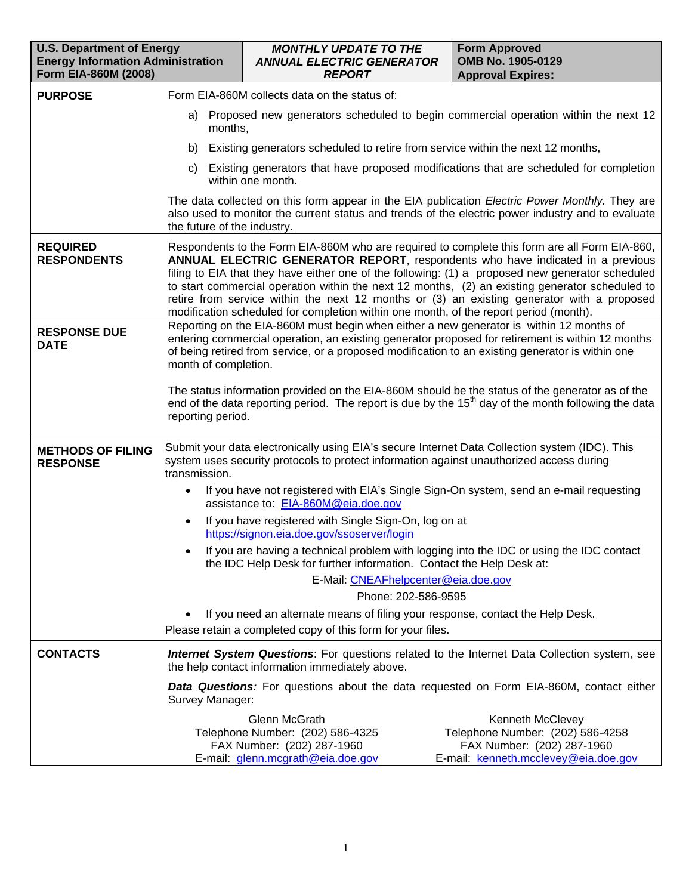| <b>U.S. Department of Energy</b><br><b>Energy Information Administration</b><br>Form EIA-860M (2008) |                                                                                                                                                                                                             | <b>MONTHLY UPDATE TO THE</b><br><b>ANNUAL ELECTRIC GENERATOR</b><br><b>REPORT</b>                                                                                                                                                                                                                                                                                                                                                                                                                                                                                             |  | <b>Form Approved</b><br>OMB No. 1905-0129<br><b>Approval Expires:</b>                                                                                                                                              |  |  |  |  |  |  |  |
|------------------------------------------------------------------------------------------------------|-------------------------------------------------------------------------------------------------------------------------------------------------------------------------------------------------------------|-------------------------------------------------------------------------------------------------------------------------------------------------------------------------------------------------------------------------------------------------------------------------------------------------------------------------------------------------------------------------------------------------------------------------------------------------------------------------------------------------------------------------------------------------------------------------------|--|--------------------------------------------------------------------------------------------------------------------------------------------------------------------------------------------------------------------|--|--|--|--|--|--|--|
| <b>PURPOSE</b>                                                                                       |                                                                                                                                                                                                             | Form EIA-860M collects data on the status of:                                                                                                                                                                                                                                                                                                                                                                                                                                                                                                                                 |  |                                                                                                                                                                                                                    |  |  |  |  |  |  |  |
|                                                                                                      | Proposed new generators scheduled to begin commercial operation within the next 12<br>a)<br>months,                                                                                                         |                                                                                                                                                                                                                                                                                                                                                                                                                                                                                                                                                                               |  |                                                                                                                                                                                                                    |  |  |  |  |  |  |  |
|                                                                                                      |                                                                                                                                                                                                             | b) Existing generators scheduled to retire from service within the next 12 months,                                                                                                                                                                                                                                                                                                                                                                                                                                                                                            |  |                                                                                                                                                                                                                    |  |  |  |  |  |  |  |
|                                                                                                      | C)                                                                                                                                                                                                          | Existing generators that have proposed modifications that are scheduled for completion<br>within one month.                                                                                                                                                                                                                                                                                                                                                                                                                                                                   |  |                                                                                                                                                                                                                    |  |  |  |  |  |  |  |
|                                                                                                      | the future of the industry.                                                                                                                                                                                 |                                                                                                                                                                                                                                                                                                                                                                                                                                                                                                                                                                               |  | The data collected on this form appear in the EIA publication Electric Power Monthly. They are<br>also used to monitor the current status and trends of the electric power industry and to evaluate                |  |  |  |  |  |  |  |
| <b>REQUIRED</b><br><b>RESPONDENTS</b>                                                                |                                                                                                                                                                                                             | Respondents to the Form EIA-860M who are required to complete this form are all Form EIA-860,<br>ANNUAL ELECTRIC GENERATOR REPORT, respondents who have indicated in a previous<br>filing to EIA that they have either one of the following: (1) a proposed new generator scheduled<br>to start commercial operation within the next 12 months, (2) an existing generator scheduled to<br>retire from service within the next 12 months or (3) an existing generator with a proposed<br>modification scheduled for completion within one month, of the report period (month). |  |                                                                                                                                                                                                                    |  |  |  |  |  |  |  |
| <b>RESPONSE DUE</b><br><b>DATE</b>                                                                   |                                                                                                                                                                                                             | Reporting on the EIA-860M must begin when either a new generator is within 12 months of<br>entering commercial operation, an existing generator proposed for retirement is within 12 months<br>of being retired from service, or a proposed modification to an existing generator is within one<br>month of completion.                                                                                                                                                                                                                                                       |  |                                                                                                                                                                                                                    |  |  |  |  |  |  |  |
|                                                                                                      | reporting period.                                                                                                                                                                                           |                                                                                                                                                                                                                                                                                                                                                                                                                                                                                                                                                                               |  | The status information provided on the EIA-860M should be the status of the generator as of the<br>end of the data reporting period. The report is due by the 15 <sup>th</sup> day of the month following the data |  |  |  |  |  |  |  |
| <b>METHODS OF FILING</b><br><b>RESPONSE</b>                                                          | Submit your data electronically using EIA's secure Internet Data Collection system (IDC). This<br>system uses security protocols to protect information against unauthorized access during<br>transmission. |                                                                                                                                                                                                                                                                                                                                                                                                                                                                                                                                                                               |  |                                                                                                                                                                                                                    |  |  |  |  |  |  |  |
|                                                                                                      |                                                                                                                                                                                                             | assistance to: EIA-860M@eia.doe.gov                                                                                                                                                                                                                                                                                                                                                                                                                                                                                                                                           |  | If you have not registered with EIA's Single Sign-On system, send an e-mail requesting                                                                                                                             |  |  |  |  |  |  |  |
|                                                                                                      | $\bullet$                                                                                                                                                                                                   | If you have registered with Single Sign-On, log on at<br>https://signon.eia.doe.gov/ssoserver/login                                                                                                                                                                                                                                                                                                                                                                                                                                                                           |  |                                                                                                                                                                                                                    |  |  |  |  |  |  |  |
|                                                                                                      |                                                                                                                                                                                                             | the IDC Help Desk for further information. Contact the Help Desk at:<br>E-Mail: CNEAFhelpcenter@eia.doe.gov                                                                                                                                                                                                                                                                                                                                                                                                                                                                   |  | If you are having a technical problem with logging into the IDC or using the IDC contact                                                                                                                           |  |  |  |  |  |  |  |
|                                                                                                      |                                                                                                                                                                                                             | Phone: 202-586-9595                                                                                                                                                                                                                                                                                                                                                                                                                                                                                                                                                           |  |                                                                                                                                                                                                                    |  |  |  |  |  |  |  |
|                                                                                                      |                                                                                                                                                                                                             | If you need an alternate means of filing your response, contact the Help Desk.                                                                                                                                                                                                                                                                                                                                                                                                                                                                                                |  |                                                                                                                                                                                                                    |  |  |  |  |  |  |  |
|                                                                                                      |                                                                                                                                                                                                             | Please retain a completed copy of this form for your files.                                                                                                                                                                                                                                                                                                                                                                                                                                                                                                                   |  |                                                                                                                                                                                                                    |  |  |  |  |  |  |  |
| <b>CONTACTS</b>                                                                                      |                                                                                                                                                                                                             | the help contact information immediately above.                                                                                                                                                                                                                                                                                                                                                                                                                                                                                                                               |  | <b>Internet System Questions:</b> For questions related to the Internet Data Collection system, see                                                                                                                |  |  |  |  |  |  |  |
|                                                                                                      | Survey Manager:                                                                                                                                                                                             |                                                                                                                                                                                                                                                                                                                                                                                                                                                                                                                                                                               |  | Data Questions: For questions about the data requested on Form EIA-860M, contact either                                                                                                                            |  |  |  |  |  |  |  |
|                                                                                                      |                                                                                                                                                                                                             | <b>Glenn McGrath</b><br>Telephone Number: (202) 586-4325<br>FAX Number: (202) 287-1960<br>E-mail: glenn.mcgrath@eia.doe.gov                                                                                                                                                                                                                                                                                                                                                                                                                                                   |  | Kenneth McClevey<br>Telephone Number: (202) 586-4258<br>FAX Number: (202) 287-1960<br>E-mail: kenneth.mcclevey@eia.doe.gov                                                                                         |  |  |  |  |  |  |  |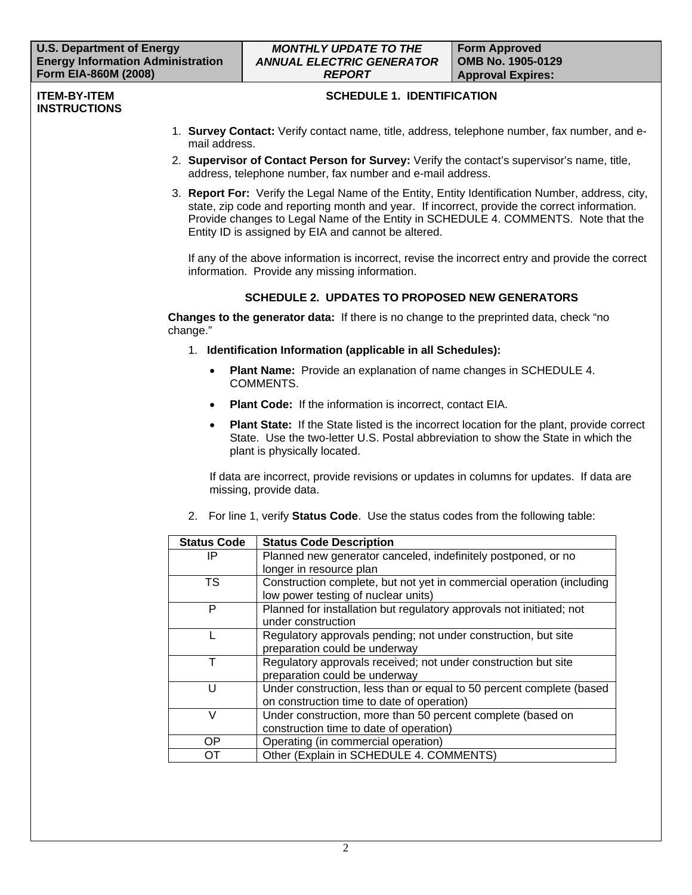#### **ITEM-BY-ITEM INSTRUCTIONS**

# **SCHEDULE 1. IDENTIFICATION**

- 1. **Survey Contact:** Verify contact name, title, address, telephone number, fax number, and email address.
- 2. **Supervisor of Contact Person for Survey:** Verify the contact's supervisor's name, title, address, telephone number, fax number and e-mail address.
- 3. **Report For:** Verify the Legal Name of the Entity, Entity Identification Number, address, city, state, zip code and reporting month and year. If incorrect, provide the correct information. Provide changes to Legal Name of the Entity in SCHEDULE 4. COMMENTS. Note that the Entity ID is assigned by EIA and cannot be altered.

If any of the above information is incorrect, revise the incorrect entry and provide the correct information. Provide any missing information.

# **SCHEDULE 2. UPDATES TO PROPOSED NEW GENERATORS**

**Changes to the generator data:** If there is no change to the preprinted data, check "no change."

- 1. **Identification Information (applicable in all Schedules):** 
	- **Plant Name:** Provide an explanation of name changes in SCHEDULE 4. COMMENTS.
	- **Plant Code:** If the information is incorrect, contact EIA.
	- **Plant State:** If the State listed is the incorrect location for the plant, provide correct State. Use the two-letter U.S. Postal abbreviation to show the State in which the plant is physically located.

If data are incorrect, provide revisions or updates in columns for updates. If data are missing, provide data.

2. For line 1, verify **Status Code**. Use the status codes from the following table:

| <b>Status Code</b> | <b>Status Code Description</b>                                        |
|--------------------|-----------------------------------------------------------------------|
| IP                 | Planned new generator canceled, indefinitely postponed, or no         |
|                    | longer in resource plan                                               |
| <b>TS</b>          | Construction complete, but not yet in commercial operation (including |
|                    | low power testing of nuclear units)                                   |
| P                  | Planned for installation but regulatory approvals not initiated; not  |
|                    | under construction                                                    |
|                    | Regulatory approvals pending; not under construction, but site        |
|                    | preparation could be underway                                         |
|                    | Regulatory approvals received; not under construction but site        |
|                    | preparation could be underway                                         |
| U                  | Under construction, less than or equal to 50 percent complete (based  |
|                    | on construction time to date of operation)                            |
| $\vee$             | Under construction, more than 50 percent complete (based on           |
|                    | construction time to date of operation)                               |
| OP.                | Operating (in commercial operation)                                   |
| OТ                 | Other (Explain in SCHEDULE 4. COMMENTS)                               |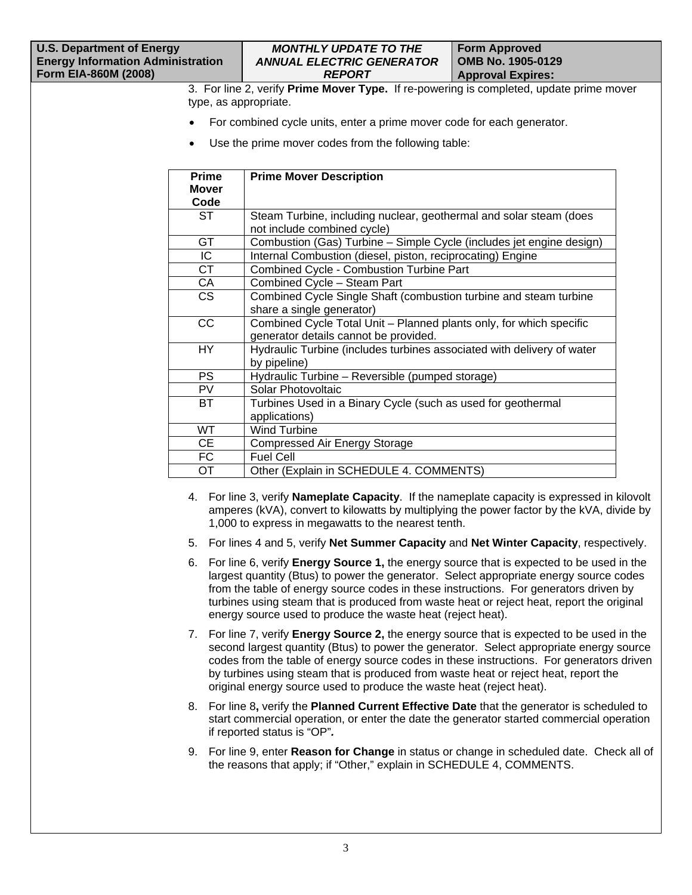### *MONTHLY UPDATE TO THE ANNUAL ELECTRIC GENERATOR REPORT*

3. For line 2, verify **Prime Mover Type.** If re-powering is completed, update prime mover type, as appropriate.

- For combined cycle units, enter a prime mover code for each generator.
- Use the prime mover codes from the following table:

| <b>Prime</b> | <b>Prime Mover Description</b>                                         |
|--------------|------------------------------------------------------------------------|
| <b>Mover</b> |                                                                        |
| Code         |                                                                        |
| ST           | Steam Turbine, including nuclear, geothermal and solar steam (does     |
|              | not include combined cycle)                                            |
| <b>GT</b>    | Combustion (Gas) Turbine – Simple Cycle (includes jet engine design)   |
| IC           | Internal Combustion (diesel, piston, reciprocating) Engine             |
| <b>CT</b>    | <b>Combined Cycle - Combustion Turbine Part</b>                        |
| СA           | Combined Cycle - Steam Part                                            |
| CS           | Combined Cycle Single Shaft (combustion turbine and steam turbine      |
|              | share a single generator)                                              |
| <b>CC</b>    | Combined Cycle Total Unit - Planned plants only, for which specific    |
|              | generator details cannot be provided.                                  |
| HY           | Hydraulic Turbine (includes turbines associated with delivery of water |
|              | by pipeline)                                                           |
| <b>PS</b>    | Hydraulic Turbine - Reversible (pumped storage)                        |
| PV.          | Solar Photovoltaic                                                     |
| BT           | Turbines Used in a Binary Cycle (such as used for geothermal           |
|              | applications)                                                          |
| <b>WT</b>    | Wind Turbine                                                           |
| CE           | <b>Compressed Air Energy Storage</b>                                   |
| FC           | <b>Fuel Cell</b>                                                       |
| <b>OT</b>    | Other (Explain in SCHEDULE 4. COMMENTS)                                |

- 4. For line 3, verify **Nameplate Capacity**. If the nameplate capacity is expressed in kilovolt amperes (kVA), convert to kilowatts by multiplying the power factor by the kVA, divide by 1,000 to express in megawatts to the nearest tenth.
- 5. For lines 4 and 5, verify **Net Summer Capacity** and **Net Winter Capacity**, respectively.
- 6. For line 6, verify **Energy Source 1,** the energy source that is expected to be used in the largest quantity (Btus) to power the generator. Select appropriate energy source codes from the table of energy source codes in these instructions. For generators driven by turbines using steam that is produced from waste heat or reject heat, report the original energy source used to produce the waste heat (reject heat).
- 7. For line 7, verify **Energy Source 2,** the energy source that is expected to be used in the second largest quantity (Btus) to power the generator. Select appropriate energy source codes from the table of energy source codes in these instructions. For generators driven by turbines using steam that is produced from waste heat or reject heat, report the original energy source used to produce the waste heat (reject heat).
- 8. For line 8**,** verify the **Planned Current Effective Date** that the generator is scheduled to start commercial operation, or enter the date the generator started commercial operation if reported status is "OP"*.*
- 9. For line 9, enter **Reason for Change** in status or change in scheduled date. Check all of the reasons that apply; if "Other," explain in SCHEDULE 4, COMMENTS.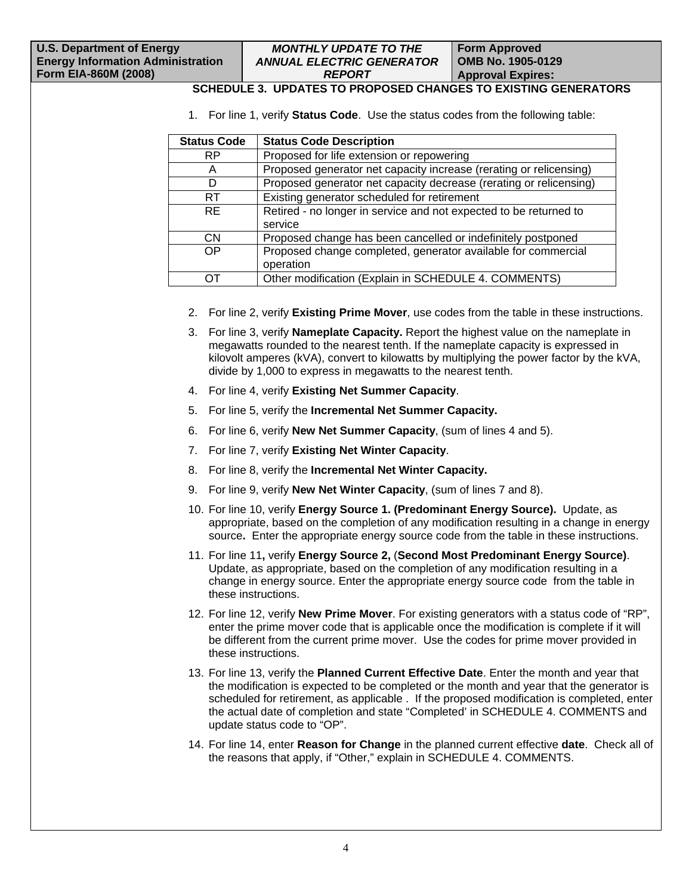#### *MONTHLY UPDATE TO THE ANNUAL ELECTRIC GENERATOR REPORT*

# **SCHEDULE 3. UPDATES TO PROPOSED CHANGES TO EXISTING GENERATORS**

1. For line 1, verify **Status Code**. Use the status codes from the following table:

| <b>Status Code</b> | <b>Status Code Description</b>                                     |
|--------------------|--------------------------------------------------------------------|
| <b>RP</b>          | Proposed for life extension or repowering                          |
| A                  | Proposed generator net capacity increase (rerating or relicensing) |
| D                  | Proposed generator net capacity decrease (rerating or relicensing) |
| RT.                | Existing generator scheduled for retirement                        |
| RE.                | Retired - no longer in service and not expected to be returned to  |
|                    | service                                                            |
| <b>CN</b>          | Proposed change has been cancelled or indefinitely postponed       |
| OP                 | Proposed change completed, generator available for commercial      |
|                    | operation                                                          |
|                    | Other modification (Explain in SCHEDULE 4. COMMENTS)               |

- 2. For line 2, verify **Existing Prime Mover**, use codes from the table in these instructions.
- 3. For line 3, verify **Nameplate Capacity.** Report the highest value on the nameplate in megawatts rounded to the nearest tenth. If the nameplate capacity is expressed in kilovolt amperes (kVA), convert to kilowatts by multiplying the power factor by the kVA, divide by 1,000 to express in megawatts to the nearest tenth.
- 4. For line 4, verify **Existing Net Summer Capacity**.
- 5. For line 5, verify the **Incremental Net Summer Capacity.**
- 6. For line 6, verify **New Net Summer Capacity**, (sum of lines 4 and 5).
- 7. For line 7, verify **Existing Net Winter Capacity**.
- 8. For line 8, verify the **Incremental Net Winter Capacity.**
- 9. For line 9, verify **New Net Winter Capacity**, (sum of lines 7 and 8).
- 10. For line 10, verify **Energy Source 1. (Predominant Energy Source).** Update, as appropriate, based on the completion of any modification resulting in a change in energy source**.** Enter the appropriate energy source code from the table in these instructions.
- 11. For line 11**,** verify **Energy Source 2,** (**Second Most Predominant Energy Source)**. Update, as appropriate, based on the completion of any modification resulting in a change in energy source. Enter the appropriate energy source code from the table in these instructions.
- 12. For line 12, verify **New Prime Mover**. For existing generators with a status code of "RP", enter the prime mover code that is applicable once the modification is complete if it will be different from the current prime mover. Use the codes for prime mover provided in these instructions.
- 13. For line 13, verify the **Planned Current Effective Date**. Enter the month and year that the modification is expected to be completed or the month and year that the generator is scheduled for retirement, as applicable . If the proposed modification is completed, enter the actual date of completion and state "Completed' in SCHEDULE 4. COMMENTS and update status code to "OP".
- 14. For line 14, enter **Reason for Change** in the planned current effective **date**. Check all of the reasons that apply, if "Other," explain in SCHEDULE 4. COMMENTS.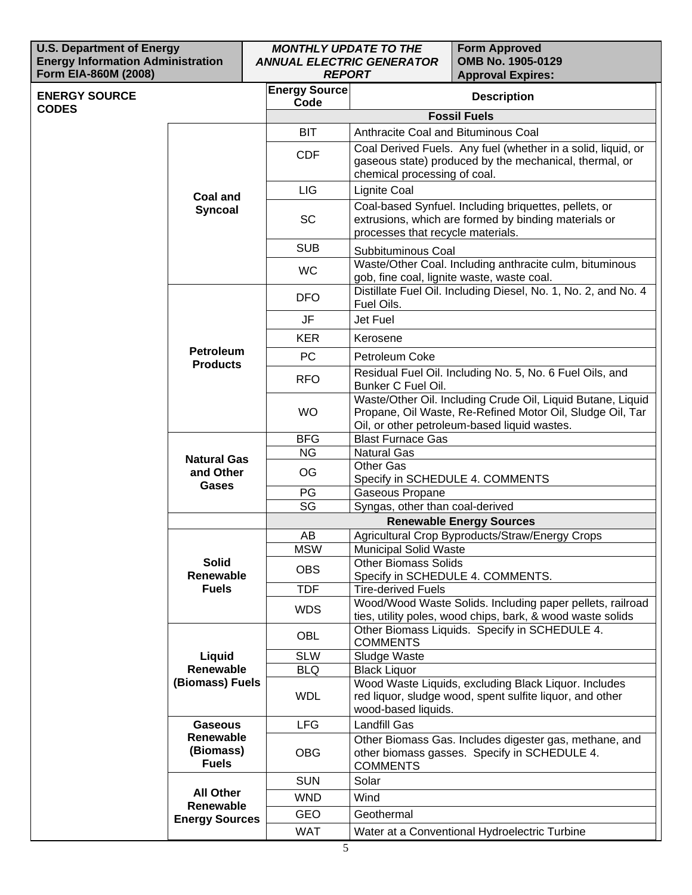| <b>U.S. Department of Energy</b><br><b>Energy Information Administration</b><br>Form EIA-860M (2008) |                                        | <b>MONTHLY UPDATE TO THE</b><br><b>ANNUAL ELECTRIC GENERATOR</b><br><b>REPORT</b> |                                                                                                                                                                          | <b>Form Approved</b><br>OMB No. 1905-0129<br><b>Approval Expires:</b>                                                   |  |  |  |  |  |
|------------------------------------------------------------------------------------------------------|----------------------------------------|-----------------------------------------------------------------------------------|--------------------------------------------------------------------------------------------------------------------------------------------------------------------------|-------------------------------------------------------------------------------------------------------------------------|--|--|--|--|--|
| <b>ENERGY SOURCE</b>                                                                                 |                                        | <b>Energy Source</b><br>Code                                                      | <b>Description</b>                                                                                                                                                       |                                                                                                                         |  |  |  |  |  |
| <b>CODES</b>                                                                                         |                                        |                                                                                   |                                                                                                                                                                          | <b>Fossil Fuels</b>                                                                                                     |  |  |  |  |  |
|                                                                                                      |                                        | <b>BIT</b>                                                                        | Anthracite Coal and Bituminous Coal                                                                                                                                      |                                                                                                                         |  |  |  |  |  |
|                                                                                                      |                                        | <b>CDF</b>                                                                        | chemical processing of coal.                                                                                                                                             | Coal Derived Fuels. Any fuel (whether in a solid, liquid, or<br>gaseous state) produced by the mechanical, thermal, or  |  |  |  |  |  |
|                                                                                                      | <b>Coal and</b>                        | <b>LIG</b>                                                                        | Lignite Coal                                                                                                                                                             |                                                                                                                         |  |  |  |  |  |
|                                                                                                      | <b>Syncoal</b>                         | <b>SC</b>                                                                         | Coal-based Synfuel. Including briquettes, pellets, or<br>extrusions, which are formed by binding materials or<br>processes that recycle materials.                       |                                                                                                                         |  |  |  |  |  |
|                                                                                                      |                                        | <b>SUB</b>                                                                        | Subbituminous Coal                                                                                                                                                       |                                                                                                                         |  |  |  |  |  |
|                                                                                                      |                                        | <b>WC</b>                                                                         |                                                                                                                                                                          | Waste/Other Coal. Including anthracite culm, bituminous<br>gob, fine coal, lignite waste, waste coal.                   |  |  |  |  |  |
|                                                                                                      |                                        | <b>DFO</b>                                                                        | Fuel Oils.                                                                                                                                                               | Distillate Fuel Oil. Including Diesel, No. 1, No. 2, and No. 4                                                          |  |  |  |  |  |
|                                                                                                      |                                        | <b>JF</b>                                                                         | Jet Fuel                                                                                                                                                                 |                                                                                                                         |  |  |  |  |  |
|                                                                                                      |                                        | <b>KER</b>                                                                        | Kerosene                                                                                                                                                                 |                                                                                                                         |  |  |  |  |  |
|                                                                                                      | <b>Petroleum</b><br><b>Products</b>    | <b>PC</b>                                                                         | Petroleum Coke                                                                                                                                                           |                                                                                                                         |  |  |  |  |  |
|                                                                                                      |                                        | <b>RFO</b>                                                                        | Residual Fuel Oil. Including No. 5, No. 6 Fuel Oils, and<br>Bunker C Fuel Oil.                                                                                           |                                                                                                                         |  |  |  |  |  |
|                                                                                                      |                                        | <b>WO</b>                                                                         | Waste/Other Oil. Including Crude Oil, Liquid Butane, Liquid<br>Propane, Oil Waste, Re-Refined Motor Oil, Sludge Oil, Tar<br>Oil, or other petroleum-based liquid wastes. |                                                                                                                         |  |  |  |  |  |
|                                                                                                      |                                        | <b>BFG</b>                                                                        | <b>Blast Furnace Gas</b>                                                                                                                                                 |                                                                                                                         |  |  |  |  |  |
|                                                                                                      | <b>Natural Gas</b>                     | <b>NG</b>                                                                         | <b>Natural Gas</b>                                                                                                                                                       |                                                                                                                         |  |  |  |  |  |
|                                                                                                      | and Other                              | <b>OG</b>                                                                         | Other Gas                                                                                                                                                                | Specify in SCHEDULE 4. COMMENTS                                                                                         |  |  |  |  |  |
|                                                                                                      | <b>Gases</b>                           | PG                                                                                | Gaseous Propane                                                                                                                                                          |                                                                                                                         |  |  |  |  |  |
|                                                                                                      |                                        | SG                                                                                | Syngas, other than coal-derived                                                                                                                                          |                                                                                                                         |  |  |  |  |  |
|                                                                                                      |                                        |                                                                                   |                                                                                                                                                                          | <b>Renewable Energy Sources</b>                                                                                         |  |  |  |  |  |
|                                                                                                      |                                        | AB                                                                                |                                                                                                                                                                          | Agricultural Crop Byproducts/Straw/Energy Crops                                                                         |  |  |  |  |  |
|                                                                                                      | <b>Solid</b>                           | <b>MSW</b>                                                                        | Municipal Solid Waste<br><b>Other Biomass Solids</b>                                                                                                                     |                                                                                                                         |  |  |  |  |  |
|                                                                                                      | Renewable                              | <b>OBS</b>                                                                        |                                                                                                                                                                          | Specify in SCHEDULE 4. COMMENTS.                                                                                        |  |  |  |  |  |
|                                                                                                      | <b>Fuels</b>                           | <b>TDF</b>                                                                        | <b>Tire-derived Fuels</b>                                                                                                                                                |                                                                                                                         |  |  |  |  |  |
|                                                                                                      |                                        | <b>WDS</b>                                                                        |                                                                                                                                                                          | Wood/Wood Waste Solids. Including paper pellets, railroad<br>ties, utility poles, wood chips, bark, & wood waste solids |  |  |  |  |  |
|                                                                                                      |                                        | OBL                                                                               | <b>COMMENTS</b>                                                                                                                                                          | Other Biomass Liquids. Specify in SCHEDULE 4.                                                                           |  |  |  |  |  |
|                                                                                                      | Liquid                                 | <b>SLW</b>                                                                        | Sludge Waste                                                                                                                                                             |                                                                                                                         |  |  |  |  |  |
|                                                                                                      | Renewable                              | <b>BLQ</b>                                                                        | <b>Black Liquor</b>                                                                                                                                                      |                                                                                                                         |  |  |  |  |  |
|                                                                                                      | (Biomass) Fuels                        | <b>WDL</b>                                                                        | Wood Waste Liquids, excluding Black Liquor. Includes<br>red liquor, sludge wood, spent sulfite liquor, and other<br>wood-based liquids.                                  |                                                                                                                         |  |  |  |  |  |
|                                                                                                      | <b>Gaseous</b>                         | <b>LFG</b>                                                                        | <b>Landfill Gas</b>                                                                                                                                                      |                                                                                                                         |  |  |  |  |  |
|                                                                                                      | Renewable<br>(Biomass)<br><b>Fuels</b> | <b>OBG</b>                                                                        | Other Biomass Gas. Includes digester gas, methane, and<br>other biomass gasses. Specify in SCHEDULE 4.<br><b>COMMENTS</b>                                                |                                                                                                                         |  |  |  |  |  |
|                                                                                                      |                                        | <b>SUN</b>                                                                        | Solar                                                                                                                                                                    |                                                                                                                         |  |  |  |  |  |
|                                                                                                      | <b>All Other</b>                       | <b>WND</b>                                                                        | Wind                                                                                                                                                                     |                                                                                                                         |  |  |  |  |  |
|                                                                                                      | Renewable<br><b>Energy Sources</b>     | <b>GEO</b>                                                                        | Geothermal                                                                                                                                                               |                                                                                                                         |  |  |  |  |  |
|                                                                                                      |                                        | <b>WAT</b>                                                                        |                                                                                                                                                                          | Water at a Conventional Hydroelectric Turbine                                                                           |  |  |  |  |  |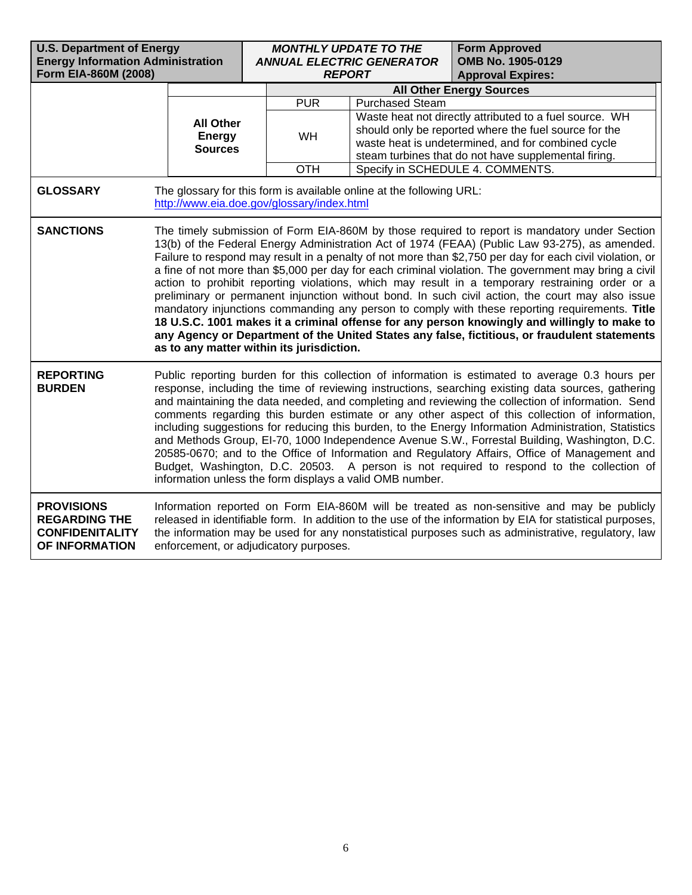| <b>U.S. Department of Energy</b><br><b>Energy Information Administration</b><br>Form EIA-860M (2008) |                                                                                                                                                                                                                                                                                                                                                                                                                                                                                                                                                                                                                                                                                                                                                                                                                                                                                                                                                                             |  | <b>MONTHLY UPDATE TO THE</b><br><b>REPORT</b> | <b>ANNUAL ELECTRIC GENERATOR</b>                                                                                                                                                                                               | <b>Form Approved</b><br>OMB No. 1905-0129<br><b>Approval Expires:</b> |  |  |  |  |
|------------------------------------------------------------------------------------------------------|-----------------------------------------------------------------------------------------------------------------------------------------------------------------------------------------------------------------------------------------------------------------------------------------------------------------------------------------------------------------------------------------------------------------------------------------------------------------------------------------------------------------------------------------------------------------------------------------------------------------------------------------------------------------------------------------------------------------------------------------------------------------------------------------------------------------------------------------------------------------------------------------------------------------------------------------------------------------------------|--|-----------------------------------------------|--------------------------------------------------------------------------------------------------------------------------------------------------------------------------------------------------------------------------------|-----------------------------------------------------------------------|--|--|--|--|
|                                                                                                      |                                                                                                                                                                                                                                                                                                                                                                                                                                                                                                                                                                                                                                                                                                                                                                                                                                                                                                                                                                             |  | <b>All Other Energy Sources</b>               |                                                                                                                                                                                                                                |                                                                       |  |  |  |  |
|                                                                                                      |                                                                                                                                                                                                                                                                                                                                                                                                                                                                                                                                                                                                                                                                                                                                                                                                                                                                                                                                                                             |  | <b>PUR</b>                                    | <b>Purchased Steam</b>                                                                                                                                                                                                         |                                                                       |  |  |  |  |
| <b>All Other</b><br><b>Energy</b><br><b>Sources</b>                                                  |                                                                                                                                                                                                                                                                                                                                                                                                                                                                                                                                                                                                                                                                                                                                                                                                                                                                                                                                                                             |  | WH                                            | Waste heat not directly attributed to a fuel source. WH<br>should only be reported where the fuel source for the<br>waste heat is undetermined, and for combined cycle<br>steam turbines that do not have supplemental firing. |                                                                       |  |  |  |  |
|                                                                                                      |                                                                                                                                                                                                                                                                                                                                                                                                                                                                                                                                                                                                                                                                                                                                                                                                                                                                                                                                                                             |  | <b>OTH</b>                                    |                                                                                                                                                                                                                                | Specify in SCHEDULE 4. COMMENTS.                                      |  |  |  |  |
| <b>GLOSSARY</b>                                                                                      | http://www.eia.doe.gov/glossary/index.html                                                                                                                                                                                                                                                                                                                                                                                                                                                                                                                                                                                                                                                                                                                                                                                                                                                                                                                                  |  |                                               | The glossary for this form is available online at the following URL:                                                                                                                                                           |                                                                       |  |  |  |  |
| <b>SANCTIONS</b>                                                                                     | The timely submission of Form EIA-860M by those required to report is mandatory under Section<br>13(b) of the Federal Energy Administration Act of 1974 (FEAA) (Public Law 93-275), as amended.<br>Failure to respond may result in a penalty of not more than \$2,750 per day for each civil violation, or<br>a fine of not more than \$5,000 per day for each criminal violation. The government may bring a civil<br>action to prohibit reporting violations, which may result in a temporary restraining order or a<br>preliminary or permanent injunction without bond. In such civil action, the court may also issue<br>mandatory injunctions commanding any person to comply with these reporting requirements. Title<br>18 U.S.C. 1001 makes it a criminal offense for any person knowingly and willingly to make to<br>any Agency or Department of the United States any false, fictitious, or fraudulent statements<br>as to any matter within its jurisdiction. |  |                                               |                                                                                                                                                                                                                                |                                                                       |  |  |  |  |
| <b>REPORTING</b><br><b>BURDEN</b>                                                                    | Public reporting burden for this collection of information is estimated to average 0.3 hours per<br>response, including the time of reviewing instructions, searching existing data sources, gathering<br>and maintaining the data needed, and completing and reviewing the collection of information. Send<br>comments regarding this burden estimate or any other aspect of this collection of information,<br>including suggestions for reducing this burden, to the Energy Information Administration, Statistics<br>and Methods Group, EI-70, 1000 Independence Avenue S.W., Forrestal Building, Washington, D.C.<br>20585-0670; and to the Office of Information and Regulatory Affairs, Office of Management and<br>Budget, Washington, D.C. 20503. A person is not required to respond to the collection of<br>information unless the form displays a valid OMB number.                                                                                             |  |                                               |                                                                                                                                                                                                                                |                                                                       |  |  |  |  |
| <b>PROVISIONS</b><br><b>REGARDING THE</b><br><b>CONFIDENITALITY</b><br>OF INFORMATION                | Information reported on Form EIA-860M will be treated as non-sensitive and may be publicly<br>released in identifiable form. In addition to the use of the information by EIA for statistical purposes,<br>the information may be used for any nonstatistical purposes such as administrative, regulatory, law<br>enforcement, or adjudicatory purposes.                                                                                                                                                                                                                                                                                                                                                                                                                                                                                                                                                                                                                    |  |                                               |                                                                                                                                                                                                                                |                                                                       |  |  |  |  |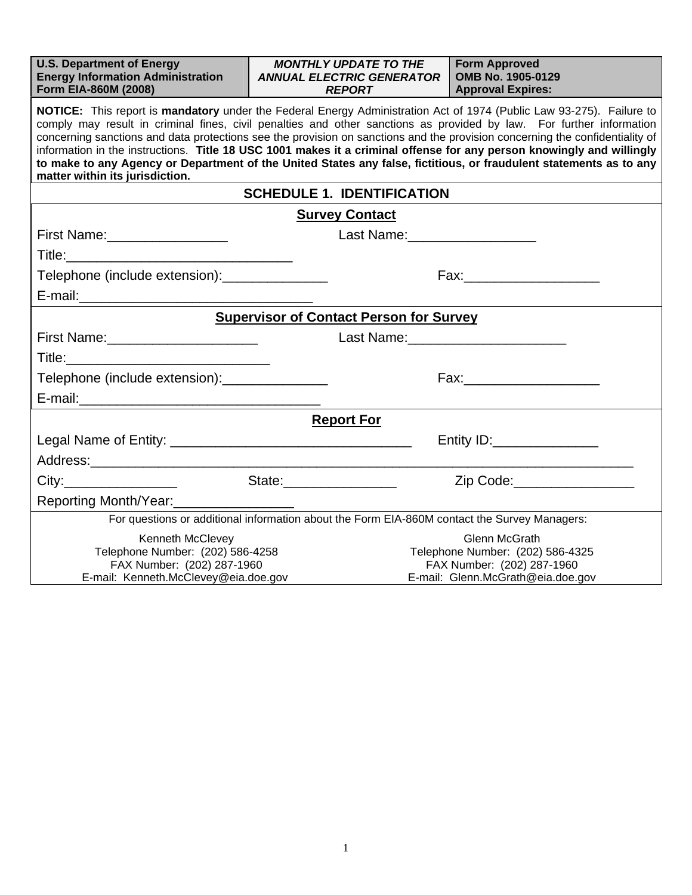| <b>U.S. Department of Energy</b><br><b>Energy Information Administration</b><br>Form EIA-860M (2008)                                                                                                                                                                                                                                                                                                                                                                                                                                                                                                                                                           | <b>MONTHLY UPDATE TO THE</b><br><b>ANNUAL ELECTRIC GENERATOR</b><br><b>REPORT</b>            | <b>Form Approved</b><br>OMB No. 1905-0129<br><b>Approval Expires:</b> |  |  |  |  |  |  |  |
|----------------------------------------------------------------------------------------------------------------------------------------------------------------------------------------------------------------------------------------------------------------------------------------------------------------------------------------------------------------------------------------------------------------------------------------------------------------------------------------------------------------------------------------------------------------------------------------------------------------------------------------------------------------|----------------------------------------------------------------------------------------------|-----------------------------------------------------------------------|--|--|--|--|--|--|--|
| NOTICE: This report is mandatory under the Federal Energy Administration Act of 1974 (Public Law 93-275). Failure to<br>comply may result in criminal fines, civil penalties and other sanctions as provided by law. For further information<br>concerning sanctions and data protections see the provision on sanctions and the provision concerning the confidentiality of<br>information in the instructions. Title 18 USC 1001 makes it a criminal offense for any person knowingly and willingly<br>to make to any Agency or Department of the United States any false, fictitious, or fraudulent statements as to any<br>matter within its jurisdiction. |                                                                                              |                                                                       |  |  |  |  |  |  |  |
|                                                                                                                                                                                                                                                                                                                                                                                                                                                                                                                                                                                                                                                                | <b>SCHEDULE 1. IDENTIFICATION</b>                                                            |                                                                       |  |  |  |  |  |  |  |
|                                                                                                                                                                                                                                                                                                                                                                                                                                                                                                                                                                                                                                                                | <b>Survey Contact</b>                                                                        |                                                                       |  |  |  |  |  |  |  |
| First Name: __________________                                                                                                                                                                                                                                                                                                                                                                                                                                                                                                                                                                                                                                 | Last Name: ____________________                                                              |                                                                       |  |  |  |  |  |  |  |
|                                                                                                                                                                                                                                                                                                                                                                                                                                                                                                                                                                                                                                                                |                                                                                              |                                                                       |  |  |  |  |  |  |  |
| Telephone (include extension): _______________                                                                                                                                                                                                                                                                                                                                                                                                                                                                                                                                                                                                                 |                                                                                              |                                                                       |  |  |  |  |  |  |  |
|                                                                                                                                                                                                                                                                                                                                                                                                                                                                                                                                                                                                                                                                |                                                                                              |                                                                       |  |  |  |  |  |  |  |
|                                                                                                                                                                                                                                                                                                                                                                                                                                                                                                                                                                                                                                                                | <b>Supervisor of Contact Person for Survey</b>                                               |                                                                       |  |  |  |  |  |  |  |
| First Name:_________________________<br>Last Name: Name: Name and Name and Name and Name and Name and Name and Name and Name and Name and Name and Name and Name and Name and Name and Name and Name and Name and Name and Name and Name and Name and Name and Name an                                                                                                                                                                                                                                                                                                                                                                                         |                                                                                              |                                                                       |  |  |  |  |  |  |  |
|                                                                                                                                                                                                                                                                                                                                                                                                                                                                                                                                                                                                                                                                |                                                                                              |                                                                       |  |  |  |  |  |  |  |
| Telephone (include extension): _______________                                                                                                                                                                                                                                                                                                                                                                                                                                                                                                                                                                                                                 |                                                                                              |                                                                       |  |  |  |  |  |  |  |
|                                                                                                                                                                                                                                                                                                                                                                                                                                                                                                                                                                                                                                                                |                                                                                              |                                                                       |  |  |  |  |  |  |  |
|                                                                                                                                                                                                                                                                                                                                                                                                                                                                                                                                                                                                                                                                | <b>Report For</b>                                                                            |                                                                       |  |  |  |  |  |  |  |
|                                                                                                                                                                                                                                                                                                                                                                                                                                                                                                                                                                                                                                                                |                                                                                              |                                                                       |  |  |  |  |  |  |  |
|                                                                                                                                                                                                                                                                                                                                                                                                                                                                                                                                                                                                                                                                |                                                                                              |                                                                       |  |  |  |  |  |  |  |
| City:                                                                                                                                                                                                                                                                                                                                                                                                                                                                                                                                                                                                                                                          | State:___________________                                                                    |                                                                       |  |  |  |  |  |  |  |
| Reporting Month/Year:                                                                                                                                                                                                                                                                                                                                                                                                                                                                                                                                                                                                                                          |                                                                                              |                                                                       |  |  |  |  |  |  |  |
|                                                                                                                                                                                                                                                                                                                                                                                                                                                                                                                                                                                                                                                                | For questions or additional information about the Form EIA-860M contact the Survey Managers: |                                                                       |  |  |  |  |  |  |  |
| Kenneth McClevey<br>Telephone Number: (202) 586-4258<br>FAX Number: (202) 287-1960                                                                                                                                                                                                                                                                                                                                                                                                                                                                                                                                                                             | Glenn McGrath<br>Telephone Number: (202) 586-4325<br>FAX Number: (202) 287-1960              |                                                                       |  |  |  |  |  |  |  |
| E-mail: Kenneth.McClevey@eia.doe.gov                                                                                                                                                                                                                                                                                                                                                                                                                                                                                                                                                                                                                           |                                                                                              | E-mail: Glenn.McGrath@eia.doe.gov                                     |  |  |  |  |  |  |  |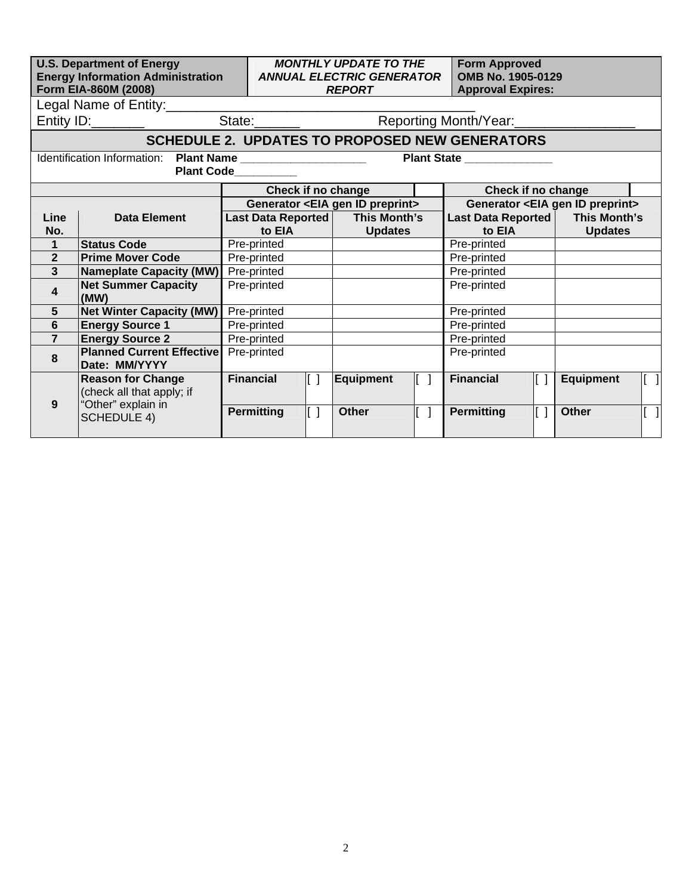|                                                                                                                                                                            | <b>U.S. Department of Energy</b><br><b>Energy Information Administration</b><br>Form EIA-860M (2008)<br>Legal Name of Entity:_________ |                                                                                                 | <b>MONTHLY UPDATE TO THE</b><br><b>Form Approved</b><br>OMB No. 1905-0129<br><b>ANNUAL ELECTRIC GENERATOR</b><br><b>Approval Expires:</b><br><b>REPORT</b><br><u> 1989 - Johann Barbara, martxa alemaniar a</u><br>Entity ID: Contact Contact State: Contact Contact Reporting Month/Year: |                                                                      |                                                                                                         |              |                                  |                                       |  |
|----------------------------------------------------------------------------------------------------------------------------------------------------------------------------|----------------------------------------------------------------------------------------------------------------------------------------|-------------------------------------------------------------------------------------------------|--------------------------------------------------------------------------------------------------------------------------------------------------------------------------------------------------------------------------------------------------------------------------------------------|----------------------------------------------------------------------|---------------------------------------------------------------------------------------------------------|--------------|----------------------------------|---------------------------------------|--|
| <b>SCHEDULE 2. UPDATES TO PROPOSED NEW GENERATORS</b><br>Identification Information: Plant Name ______________________<br>Plant State _______________<br><b>Plant Code</b> |                                                                                                                                        |                                                                                                 |                                                                                                                                                                                                                                                                                            |                                                                      |                                                                                                         |              |                                  |                                       |  |
|                                                                                                                                                                            |                                                                                                                                        | Check if no change                                                                              |                                                                                                                                                                                                                                                                                            |                                                                      | Check if no change                                                                                      |              |                                  |                                       |  |
| Line<br>No.                                                                                                                                                                | <b>Data Element</b>                                                                                                                    | Generator <eia gen="" id="" preprint=""><br/>Last Data Reported   This Month's<br/>to EIA</eia> |                                                                                                                                                                                                                                                                                            | to EIA                                                               | Generator <eia gen="" id="" preprint=""><br/>Last Data Reported   This Month's<br/><b>Updates</b></eia> |              |                                  |                                       |  |
| $\mathbf{1}$                                                                                                                                                               | <b>Status Code</b>                                                                                                                     | Pre-printed                                                                                     | <b>Updates</b>                                                                                                                                                                                                                                                                             |                                                                      | Pre-printed                                                                                             |              |                                  |                                       |  |
| $\overline{2}$                                                                                                                                                             | <b>Prime Mover Code</b><br>Pre-printed                                                                                                 |                                                                                                 |                                                                                                                                                                                                                                                                                            | Pre-printed                                                          |                                                                                                         |              |                                  |                                       |  |
| $\mathbf{3}$                                                                                                                                                               | <b>Nameplate Capacity (MW)</b>                                                                                                         | Pre-printed                                                                                     |                                                                                                                                                                                                                                                                                            |                                                                      |                                                                                                         |              |                                  |                                       |  |
| $\overline{\mathbf{4}}$                                                                                                                                                    | <b>Net Summer Capacity</b><br>(MW)                                                                                                     | Pre-printed                                                                                     |                                                                                                                                                                                                                                                                                            |                                                                      |                                                                                                         | Pre-printed  |                                  |                                       |  |
| $5\phantom{1}$                                                                                                                                                             | <b>Net Winter Capacity (MW)</b>                                                                                                        | Pre-printed                                                                                     |                                                                                                                                                                                                                                                                                            |                                                                      | Pre-printed                                                                                             |              |                                  |                                       |  |
| 6                                                                                                                                                                          | <b>Energy Source 1</b>                                                                                                                 | Pre-printed                                                                                     |                                                                                                                                                                                                                                                                                            |                                                                      |                                                                                                         | Pre-printed  |                                  |                                       |  |
| $\overline{7}$                                                                                                                                                             | <b>Energy Source 2</b>                                                                                                                 | Pre-printed                                                                                     |                                                                                                                                                                                                                                                                                            |                                                                      | Pre-printed                                                                                             |              |                                  |                                       |  |
| 8                                                                                                                                                                          | <b>Planned Current Effective</b><br>Date: MM/YYYY                                                                                      | Pre-printed                                                                                     |                                                                                                                                                                                                                                                                                            |                                                                      | Pre-printed                                                                                             |              |                                  |                                       |  |
| 9                                                                                                                                                                          | <b>Reason for Change</b><br>(check all that apply; if<br>"Other" explain in<br><b>SCHEDULE 4)</b>                                      | <b>Financial</b><br>II I<br>$\mathbb{L}$ 1<br><b>Permitting</b>                                 | Equipment<br><b>Other</b>                                                                                                                                                                                                                                                                  | $\begin{bmatrix} 1 \end{bmatrix}$<br>$\begin{bmatrix} \end{bmatrix}$ | <b>Financial</b><br><b>Permitting</b>                                                                   | II I<br>IT 1 | <b>Equipment</b><br><b>Other</b> | IГ<br>$\begin{bmatrix} \end{bmatrix}$ |  |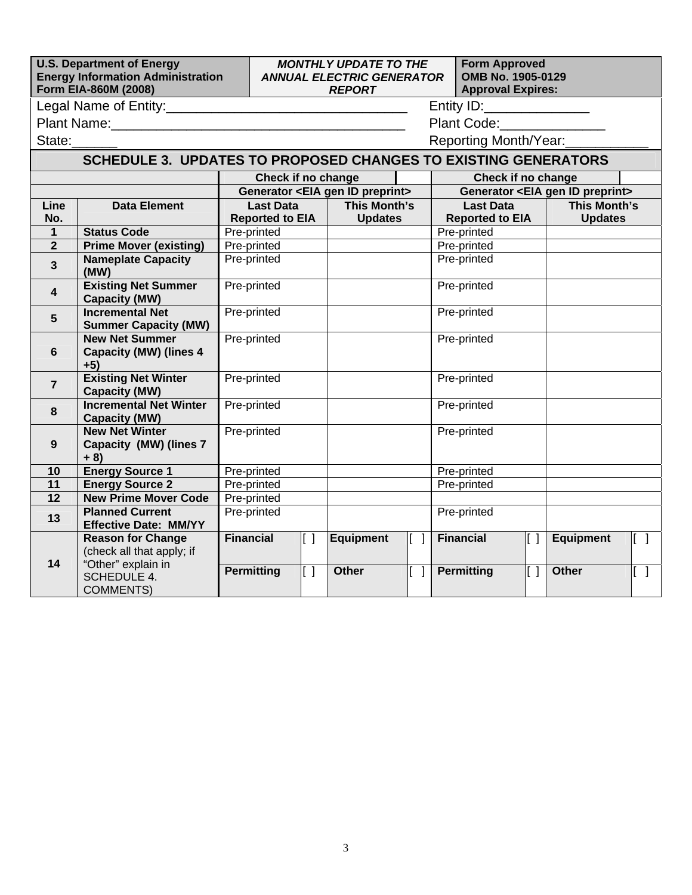|                                                                       | <b>U.S. Department of Energy</b><br><b>Energy Information Administration</b><br>Form EIA-860M (2008) | <b>Form Approved</b><br><b>MONTHLY UPDATE TO THE</b><br>OMB No. 1905-0129<br><b>ANNUAL ELECTRIC GENERATOR</b><br><b>Approval Expires:</b><br><b>REPORT</b> |                        |      |                                                |  |             |                    |                                                                                                                |        |                                                |                           |
|-----------------------------------------------------------------------|------------------------------------------------------------------------------------------------------|------------------------------------------------------------------------------------------------------------------------------------------------------------|------------------------|------|------------------------------------------------|--|-------------|--------------------|----------------------------------------------------------------------------------------------------------------|--------|------------------------------------------------|---------------------------|
|                                                                       |                                                                                                      |                                                                                                                                                            |                        |      |                                                |  |             |                    |                                                                                                                |        |                                                |                           |
|                                                                       |                                                                                                      |                                                                                                                                                            |                        |      |                                                |  |             |                    | Plant Code: Note: Note: Note: Note: Note: Note: Note: Note: Note: Note: Note: Note: Note: Note: Note: Note: No |        |                                                |                           |
| State:                                                                |                                                                                                      |                                                                                                                                                            |                        |      |                                                |  |             |                    | Reporting Month/Year:                                                                                          |        |                                                |                           |
| <b>SCHEDULE 3. UPDATES TO PROPOSED CHANGES TO EXISTING GENERATORS</b> |                                                                                                      |                                                                                                                                                            |                        |      |                                                |  |             |                    |                                                                                                                |        |                                                |                           |
|                                                                       |                                                                                                      |                                                                                                                                                            | Check if no change     |      |                                                |  |             | Check if no change |                                                                                                                |        |                                                |                           |
|                                                                       |                                                                                                      |                                                                                                                                                            |                        |      | Generator <eia gen="" id="" preprint=""></eia> |  |             |                    |                                                                                                                |        | Generator <eia gen="" id="" preprint=""></eia> |                           |
| Line                                                                  | <b>Data Element</b>                                                                                  |                                                                                                                                                            | <b>Last Data</b>       |      | <b>This Month's</b>                            |  |             |                    | <b>Last Data</b>                                                                                               |        | <b>This Month's</b>                            |                           |
| No.                                                                   |                                                                                                      |                                                                                                                                                            | <b>Reported to EIA</b> |      | <b>Updates</b>                                 |  |             |                    | <b>Reported to EIA</b>                                                                                         |        | <b>Updates</b>                                 |                           |
| $\mathbf{1}$                                                          | <b>Status Code</b>                                                                                   |                                                                                                                                                            | Pre-printed            |      |                                                |  |             |                    | Pre-printed                                                                                                    |        |                                                |                           |
| 2 <sup>2</sup>                                                        | <b>Prime Mover (existing)</b>                                                                        |                                                                                                                                                            | Pre-printed            |      |                                                |  |             |                    | Pre-printed                                                                                                    |        |                                                |                           |
| $\overline{3}$                                                        | <b>Nameplate Capacity</b><br>(MW)                                                                    |                                                                                                                                                            | Pre-printed            |      |                                                |  |             |                    | Pre-printed                                                                                                    |        |                                                |                           |
| $\overline{\mathbf{4}}$                                               | <b>Existing Net Summer</b><br><b>Capacity (MW)</b>                                                   | Pre-printed                                                                                                                                                |                        |      |                                                |  |             |                    | Pre-printed                                                                                                    |        |                                                |                           |
| 5                                                                     | <b>Incremental Net</b><br><b>Summer Capacity (MW)</b>                                                | Pre-printed                                                                                                                                                |                        |      |                                                |  |             | Pre-printed        |                                                                                                                |        |                                                |                           |
|                                                                       | <b>New Net Summer</b>                                                                                | Pre-printed                                                                                                                                                |                        |      |                                                |  |             | Pre-printed        |                                                                                                                |        |                                                |                           |
| 6                                                                     | <b>Capacity (MW) (lines 4</b><br>$+5)$                                                               |                                                                                                                                                            |                        |      |                                                |  |             |                    |                                                                                                                |        |                                                |                           |
| $\overline{7}$                                                        | <b>Existing Net Winter</b><br><b>Capacity (MW)</b>                                                   | Pre-printed                                                                                                                                                |                        |      |                                                |  |             | Pre-printed        |                                                                                                                |        |                                                |                           |
| 8                                                                     | <b>Incremental Net Winter</b><br><b>Capacity (MW)</b>                                                |                                                                                                                                                            | Pre-printed            |      |                                                |  |             |                    | Pre-printed                                                                                                    |        |                                                |                           |
| 9                                                                     | <b>New Net Winter</b>                                                                                | Pre-printed                                                                                                                                                |                        |      |                                                |  | Pre-printed |                    |                                                                                                                |        |                                                |                           |
|                                                                       | <b>Capacity (MW) (lines 7</b><br>$+ 8)$                                                              |                                                                                                                                                            |                        |      |                                                |  |             |                    |                                                                                                                |        |                                                |                           |
| 10                                                                    | <b>Energy Source 1</b>                                                                               | Pre-printed                                                                                                                                                |                        |      |                                                |  | Pre-printed |                    |                                                                                                                |        |                                                |                           |
| 11                                                                    | <b>Energy Source 2</b>                                                                               | Pre-printed                                                                                                                                                |                        |      |                                                |  |             | Pre-printed        |                                                                                                                |        |                                                |                           |
| 12                                                                    | <b>New Prime Mover Code</b>                                                                          | Pre-printed                                                                                                                                                |                        |      |                                                |  |             |                    |                                                                                                                |        |                                                |                           |
| 13                                                                    | <b>Planned Current</b><br><b>Effective Date: MM/YY</b>                                               | Pre-printed                                                                                                                                                |                        |      |                                                |  |             |                    | Pre-printed                                                                                                    |        |                                                |                           |
|                                                                       | <b>Reason for Change</b><br>(check all that apply; if                                                |                                                                                                                                                            | <b>Financial</b>       | II I | <b>Equipment</b>                               |  | lf 1        |                    | <b>Financial</b>                                                                                               | lf 1 l | <b>Equipment</b>                               | III I                     |
| 14                                                                    | "Other" explain in<br>SCHEDULE 4.<br><b>COMMENTS)</b>                                                |                                                                                                                                                            | <b>Permitting</b>      | IE 1 | <b>Other</b>                                   |  | lī 11       |                    | <b>Permitting</b>                                                                                              | lt 1 l | Other                                          | $\overline{\mathbb{L}}$ ) |